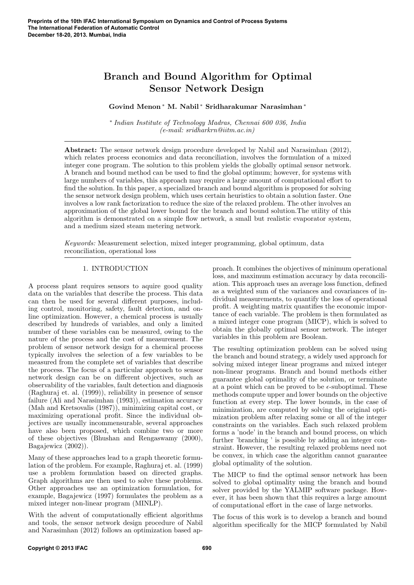# Branch and Bound Algorithm for Optimal Sensor Network Design

# Govind Menon <sup>∗</sup> M. Nabil <sup>∗</sup> Sridharakumar Narasimhan <sup>∗</sup>

∗ Indian Institute of Technology Madras, Chennai 600 036, India (e-mail: sridharkrn@iitm.ac.in)

Abstract: The sensor network design procedure developed by Nabil and Narasimhan (2012), which relates process economics and data reconciliation, involves the formulation of a mixed integer cone program. The solution to this problem yields the globally optimal sensor network. A branch and bound method can be used to find the global optimum; however, for systems with large numbers of variables, this approach may require a large amount of computational effort to find the solution. In this paper, a specialized branch and bound algorithm is proposed for solving the sensor network design problem, which uses certain heuristics to obtain a solution faster. One involves a low rank factorization to reduce the size of the relaxed problem. The other involves an approximation of the global lower bound for the branch and bound solution.The utility of this algorithm is demonstrated on a simple flow network, a small but realistic evaporator system, and a medium sized steam metering network.

Keywords: Measurement selection, mixed integer programming, global optimum, data reconciliation, operational loss

# 1. INTRODUCTION

A process plant requires sensors to aquire good quality data on the variables that describe the process. This data can then be used for several different purposes, including control, monitoring, safety, fault detection, and online optimization. However, a chemical process is usually described by hundreds of variables, and only a limited number of these variables can be measured, owing to the nature of the process and the cost of measurement. The problem of sensor network design for a chemical process typically involves the selection of a few variables to be measured from the complete set of variables that describe the process. The focus of a particular approach to sensor network design can be on different objectives, such as observability of the variables, fault detection and diagnosis (Raghuraj et. al. (1999)), reliability in presence of sensor failure (Ali and Narasimhan (1993)), estimation accuracy (Mah and Kretsovalis (1987)), minimizing capital cost, or maximizing operational profit. Since the individual objectives are usually incommensurable, several approaches have also been proposed, which combine two or more of these objectives (Bhushan and Rengaswamy (2000), Bagajewicz (2002)).

Many of these approaches lead to a graph theoretic formulation of the problem. For example, Raghuraj et. al. (1999) use a problem formulation based on directed graphs. Graph algorithms are then used to solve these problems. Other approaches use an optimization formulation, for example, Bagajewicz (1997) formulates the problem as a mixed integer non-linear program (MINLP).

With the advent of computationally efficient algorithms and tools, the sensor network design procedure of Nabil and Narasimhan (2012) follows an optimization based approach. It combines the objectives of minimum operational loss, and maximum estimation accuracy by data reconciliation. This approach uses an average loss function, defined as a weighted sum of the variances and covariances of individual measurements, to quantify the loss of operational profit. A weighting matrix quantifies the economic importance of each variable. The problem is then formulated as a mixed integer cone program (MICP), which is solved to obtain the globally optimal sensor network. The integer variables in this problem are Boolean.

The resulting optimization problem can be solved using the branch and bound strategy, a widely used approach for solving mixed integer linear programs and mixed integer non-linear programs. Branch and bound methods either guarantee global optimality of the solution, or terminate at a point which can be proved to be  $\epsilon$ -suboptimal. These methods compute upper and lower bounds on the objective function at every step. The lower bounds, in the case of minimization, are computed by solving the original optimization problem after relaxing some or all of the integer constraints on the variables. Each such relaxed problem forms a 'node' in the branch and bound process, on which further 'branching ' is possible by adding an integer constraint. However, the resulting relaxed problems need not be convex, in which case the algorithm cannot guarantee global optimality of the solution.

The MICP to find the optimal sensor network has been solved to global optimality using the branch and bound solver provided by the YALMIP software package. However, it has been shown that this requires a large amount of computational effort in the case of large networks.

The focus of this work is to develop a branch and bound algorithm specifically for the MICP formulated by Nabil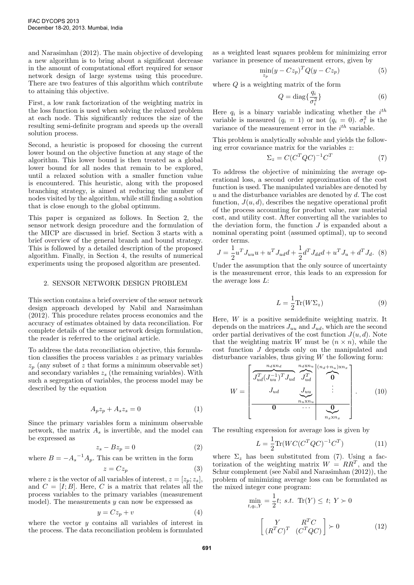and Narasimhan (2012). The main objective of developing a new algorithm is to bring about a significant decrease in the amount of computational effort required for sensor network design of large systems using this procedure. There are two features of this algorithm which contribute to attaining this objective.

First, a low rank factorization of the weighting matrix in the loss function is used when solving the relaxed problem at each node. This significantly reduces the size of the resulting semi-definite program and speeds up the overall solution process.

Second, a heuristic is proposed for choosing the current lower bound on the objective function at any stage of the algorithm. This lower bound is then treated as a global lower bound for all nodes that remain to be explored, until a relaxed solution with a smaller function value is encountered. This heuristic, along with the proposed branching strategy, is aimed at reducing the number of nodes visited by the algorithm, while still finding a solution that is close enough to the global optimum.

This paper is organized as follows. In Section 2, the sensor network design procedure and the formulation of the MICP are discussed in brief. Section 3 starts with a brief overview of the general branch and bound strategy. This is followed by a detailed description of the proposed algorithm. Finally, in Section 4, the results of numerical experiments using the proposed algorithm are presented.

#### 2. SENSOR NETWORK DESIGN PROBLEM

This section contains a brief overview of the sensor network design approach developed by Nabil and Narasimhan (2012). This procedure relates process economics and the accuracy of estimates obtained by data reconciliation. For complete details of the sensor network design formulation, the reader is referred to the original article.

To address the data reconciliation objective, this formulation classifies the process variables z as primary variables  $z_p$  (any subset of z that forms a minimum observable set) and secondary variables  $z_s$  (the remaining variables). With such a segregation of variables, the process model may be described by the equation

$$
A_p z_p + A_s z_s = 0 \tag{1}
$$

Since the primary variables form a minimum observable network, the matrix  $A_s$  is invertible, and the model can be expressed as

$$
z_s - Bz_p = 0 \tag{2}
$$

where  $B = -A_s^{-1}A_p$ . This can be written in the form  $z = Cz_p$  (3)

where z is the vector of all variables of interest,  $z = [z_p; z_s]$ , and  $C = [I; B]$ . Here, C is a matrix that relates all the process variables to the primary variables (measurement model). The measurements  $y$  can now be expressed as

$$
y = Cz_p + v \tag{4}
$$

where the vector  $y$  contains all variables of interest in the process. The data reconciliation problem is formulated

as a weighted least squares problem for minimizing error variance in presence of measurement errors, given by

$$
\min_{z_p} (y - Cz_p)^T Q (y - Cz_p) \tag{5}
$$

where  $Q$  is a weighting matrix of the form

$$
Q = \text{diag}\{\frac{q_i}{\sigma_i^2}\}\tag{6}
$$

Here  $q_i$  is a binary variable indicating whether the  $i^{th}$ variable is measured  $(q_i = 1)$  or not  $(q_i = 0)$ .  $\sigma_i^2$  is the variance of the measurement error in the  $i^{th}$  variable.

This problem is analytically solvable and yields the following error covariance matrix for the variables z:

$$
\Sigma_z = C(C^T Q C)^{-1} C^T \tag{7}
$$

To address the objective of minimizing the average operational loss, a second order approximation of the cost function is used. The manipulated variables are denoted by u and the disturbance variables are denoted by  $d$ . The cost function,  $J(u, d)$ , describes the negative operational profit of the process accounting for product value, raw material cost, and utility cost. After converting all the variables to the deviation form, the function  $J$  is expanded about a nominal operating point (assumed optimal), up to second order terms.

$$
J = \frac{1}{2}u^{T} J_{uu}u + u^{T} J_{ud}d + \frac{1}{2}d^{T} J_{dd}d + u^{T} J_{u} + d^{T} J_{d}.
$$
 (8)

Under the assumption that the only source of uncertainty is the measurement error, this leads to an expression for the average loss L:

$$
L = \frac{1}{2} \text{Tr}(W\Sigma_z)
$$
 (9)

Here,  $W$  is a positive semidefinite weighting matrix. It depends on the matrices  $J_{uu}$  and  $J_{ud}$ , which are the second order partial derivatives of the cost function  $J(u, d)$ . Note that the weighting matrix W must be  $(n \times n)$ , while the cost function J depends only on the manipulated and disturbance variables, thus giving  $W$  the following form:

$$
W = \begin{bmatrix} \overbrace{J_{ud}^T (J_{uu}^{-1})^T J_{ud}}^{n_d x n_d} & \overbrace{J_{ud}^T}^{n_d x n_u} & (n_d + n_u) x n_x \\ J_{ud} & J_{uu} & \overbrace{0} & \overbrace{0} \\ \overbrace{0} & \overbrace{0} & \overbrace{0} & \overbrace{0} \\ \overbrace{0} & \overbrace{0} & \overbrace{0} \\ \overbrace{0} & \overbrace{0} & \overbrace{0} \\ \end{bmatrix} .
$$
 (10)

The resulting expression for average loss is given by

$$
L = \frac{1}{2} \text{Tr}(WC(C^T Q C)^{-1} C^T)
$$
 (11)

where  $\Sigma_z$  has been substituted from (7). Using a factorization of the weighting matrix  $W = RR^T$ , and the Schur complement (see Nabil and Narasimhan (2012)), the problem of minimizing average loss can be formulated as the mixed integer cone program:

$$
\min_{t,q_i,Y} = \frac{1}{2}t; \ s.t. \ \ \text{Tr}(Y) \leq t; \ Y \succ 0
$$
\n
$$
\begin{bmatrix}\nY & R^T C \\
(R^T C)^T & (C^T Q C)\n\end{bmatrix} \succ 0
$$
\n(12)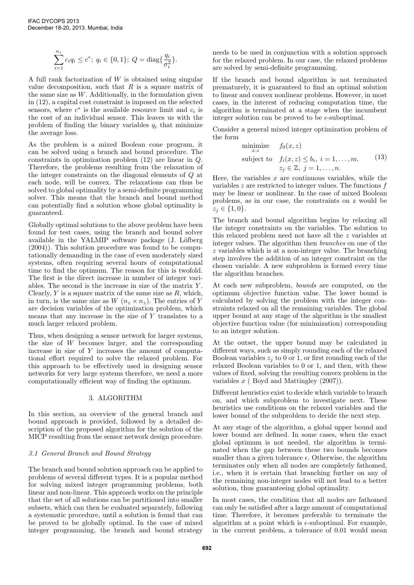$$
\sum_{i=1}^{n_z} c_i q_i \le c^*; \ q_i \in \{0, 1\}; \ Q = \text{diag}\{\frac{q_i}{\sigma_i^2}\}.
$$

A full rank factorization of W is obtained using singular value decomposition, such that  $R$  is a square matrix of the same size as  $W$ . Additionally, in the formulation given in (12), a capital cost constraint is imposed on the selected sensors, where  $c^*$  is the available resource limit and  $c_i$  is the cost of an individual sensor. This leaves us with the problem of finding the binary variables  $q_i$  that minimize the average loss.

As the problem is a mixed Boolean cone program, it can be solved using a branch and bound procedure. The constraints in optimization problem (12) are linear in Q. Therefore, the problems resulting from the relaxation of the integer constraints on the diagonal elements of Q at each node, will be convex. The relaxations can thus be solved to global optimality by a semi-definite programming solver. This means that the branch and bound method can potentially find a solution whose global optimality is guaranteed.

Globally optimal solutions to the above problem have been found for test cases, using the branch and bound solver available in the YALMIP software package  $(J. Löfberg)$ (2004)). This solution procedure was found to be computationally demanding in the case of even moderately sized systems, often requiring several hours of computational time to find the optimum. The reason for this is twofold. The first is the direct increase in number of integer variables. The second is the increase in size of the matrix Y . Clearly,  $Y$  is a square matrix of the same size as  $R$ , which, in turn, is the same size as  $W$   $(n_z \times n_z)$ . The entries of Y are decision variables of the optimization problem, which means that any increase in the size of  $Y$  translates to a much larger relaxed problem.

Thus, when designing a sensor network for larger systems, the size of W becomes larger, and the corresponding increase in size of Y increases the amount of computational effort required to solve the relaxed problem. For this approach to be effectively used in designing sensor networks for very large systems therefore, we need a more computationally efficient way of finding the optimum.

#### 3. ALGORITHM

In this section, an overview of the general branch and bound approach is provided, followed by a detailed description of the proposed algorithm for the solution of the MICP resulting from the sensor network design procedure.

# 3.1 General Branch and Bound Strategy

The branch and bound solution approach can be applied to problems of several different types. It is a popular method for solving mixed integer programming problems, both linear and non-linear. This approach works on the principle that the set of all solutions can be partitioned into smaller subsets, which can then be evaluated separately, following a systematic procedure, until a solution is found that can be proved to be globally optimal. In the case of mixed integer programming, the branch and bound strategy

needs to be used in conjunction with a solution approach for the relaxed problem. In our case, the relaxed problems are solved by semi-definite programming.

If the branch and bound algorithm is not terminated prematurely, it is guaranteed to find an optimal solution to linear and convex nonlinear problems. However, in most cases, in the interest of reducing computation time, the algorithm is terminated at a stage when the incumbent integer solution can be proved to be  $\epsilon$ -suboptimal.

Consider a general mixed integer optimization problem of the form

minimize 
$$
f_0(x, z)
$$
  
\nsubject to  $f_i(x, z) \le b_i$ ,  $i = 1, ..., m$ . (13)  
\n $z_j \in \mathbb{Z}$ ,  $j = 1, ..., n$ .

Here, the variables  $x$  are continuous variables, while the variables  $z$  are restricted to integer values. The functions  $f$ may be linear or nonlinear. In the case of mixed Boolean problems, as in our case, the constraints on z would be  $z_j \in \{1, 0\}.$ 

The branch and bound algorithm begins by relaxing all the integer constraints on the variables. The solution to this relaxed problem need not have all the z variables at integer values. The algorithm then branches on one of the z variables which is at a non-integer value. The branching step involves the addition of an integer constraint on the chosen variable. A new subproblem is formed every time the algorithm branches.

At each new subproblem, bounds are computed, on the optimum objective function value. The lower bound is calculated by solving the problem with the integer constraints relaxed on all the remaining variables. The global upper bound at any stage of the algorithm is the smallest objective function value (for minimization) corresponding to an integer solution.

At the outset, the upper bound may be calculated in different ways, such as simply rounding each of the relaxed Boolean variables  $z_i$  to 0 or 1, or first rounding each of the relaxed Boolean variables to 0 or 1, and then, with these values of fixed, solving the resulting convex problem in the variables  $x$  (Boyd and Mattingley  $(2007)$ ).

Different heuristics exist to decide which variable to branch on, and which subproblem to investigate next. These heuristics use conditions on the relaxed variables and the lower bound of the subproblem to decide the next step.

At any stage of the algorithm, a global upper bound and lower bound are defined. In some cases, when the exact global optimum is not needed, the algorithm is terminated when the gap between these two bounds becomes smaller than a given tolerance  $\epsilon$ . Otherwise, the algorithm terminates only when all nodes are completely fathomed, i.e., when it is certain that branching further on any of the remaining non-integer nodes will not lead to a better solution, thus guaranteeing global optimality.

In most cases, the condition that all nodes are fathomed can only be satisfied after a large amount of computational time. Therefore, it becomes preferable to terminate the algorithm at a point which is  $\epsilon$ -suboptimal. For example, in the current problem, a tolerance of 0.01 would mean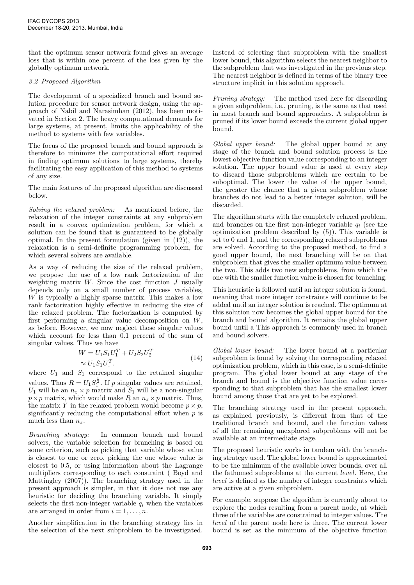that the optimum sensor network found gives an average loss that is within one percent of the loss given by the globally optimum network.

## 3.2 Proposed Algorithm

The development of a specialized branch and bound solution procedure for sensor network design, using the approach of Nabil and Narasimhan (2012), has been motivated in Section 2. The heavy computational demands for large systems, at present, limits the applicability of the method to systems with few variables.

The focus of the proposed branch and bound approach is therefore to minimize the computational effort required in finding optimum solutions to large systems, thereby facilitating the easy application of this method to systems of any size.

The main features of the proposed algorithm are discussed below.

Solving the relaxed problem: As mentioned before, the relaxation of the integer constraints at any subproblem result in a convex optimization problem, for which a solution can be found that is guaranteed to be globally optimal. In the present formulation (given in (12)), the relaxation is a semi-definite programming problem, for which several solvers are available.

As a way of reducing the size of the relaxed problem, we propose the use of a low rank factorization of the weighting matrix  $W$ . Since the cost function  $J$  usually depends only on a small number of process variables, W is typically a highly sparse matrix. This makes a low rank factorization highly effective in reducing the size of the relaxed problem. The factorization is computed by first performing a singular value decomposition on W, as before. However, we now neglect those singular values which account for less than 0.1 percent of the sum of singular values. Thus we have

$$
W = U_1 S_1 U_1^T + U_2 S_2 U_2^T
$$
  
\n
$$
\approx U_1 S_1 U_1^T.
$$
\n(14)

where  $U_1$  and  $S_1$  correspond to the retained singular values. Thus  $R = U_1 S_1^{\frac{1}{2}}$ . If p singular values are retained,  $U_1$  will be an  $n_z \times p$  matrix and  $S_1$  will be a non-singular  $p \times p$  matrix, which would make R an  $n_z \times p$  matrix. Thus, the matrix Y in the relaxed problem would become  $p \times p$ , significantly reducing the computational effort when  $p$  is much less than  $n_z$ .

Branching strategy: In common branch and bound solvers, the variable selection for branching is based on some criterion, such as picking that variable whose value is closest to one or zero, picking the one whose value is closest to 0.5, or using information about the Lagrange multipliers corresponding to each constraint ( Boyd and Mattingley (2007)). The branching strategy used in the present approach is simpler, in that it does not use any heuristic for deciding the branching variable. It simply selects the first non-integer variable  $q_i$  when the variables are arranged in order from  $i = 1, \ldots, n$ .

Another simplification in the branching strategy lies in the selection of the next subproblem to be investigated. Instead of selecting that subproblem with the smallest lower bound, this algorithm selects the nearest neighbor to the subproblem that was investigated in the previous step. The nearest neighbor is defined in terms of the binary tree structure implicit in this solution approach.

Pruning strategy: The method used here for discarding a given subproblem, i.e., pruning, is the same as that used in most branch and bound approaches. A subproblem is pruned if its lower bound exceeds the current global upper bound.

Global upper bound: The global upper bound at any stage of the branch and bound solution process is the lowest objective function value corresponding to an integer solution. The upper bound value is used at every step to discard those subproblems which are certain to be suboptimal. The lower the value of the upper bound, the greater the chance that a given subproblem whose branches do not lead to a better integer solution, will be discarded.

The algorithm starts with the completely relaxed problem, and branches on the first non-integer variable  $q_i$  (see the optimization problem described by (5)). This variable is set to 0 and 1, and the corresponding relaxed subproblems are solved. According to the proposed method, to find a good upper bound, the next branching will be on that subproblem that gives the smaller optimum value between the two. This adds two new subproblems, from which the one with the smaller function value is chosen for branching.

This heuristic is followed until an integer solution is found, meaning that more integer constraints will continue to be added until an integer solution is reached. The optimum at this solution now becomes the global upper bound for the branch and bound algorithm. It remains the global upper bound until a This approach is commonly used in branch and bound solvers.

Global lower bound: The lower bound at a particular subproblem is found by solving the corresponding relaxed optimization problem, which in this case, is a semi-definite program. The global lower bound at any stage of the branch and bound is the objective function value corresponding to that subproblem that has the smallest lower bound among those that are yet to be explored.

The branching strategy used in the present approach, as explained previously, is different from that of the traditional branch and bound, and the function values of all the remaining unexplored subproblems will not be available at an intermediate stage.

The proposed heuristic works in tandem with the branching strategy used. The global lower bound is approximated to be the minimum of the available lower bounds, over all the fathomed subproblems at the current level. Here, the level is defined as the number of integer constraints which are active at a given subproblem.

For example, suppose the algorithm is currently about to explore the nodes resulting from a parent node, at which three of the variables are constrained to integer values. The level of the parent node here is three. The current lower bound is set as the minimum of the objective function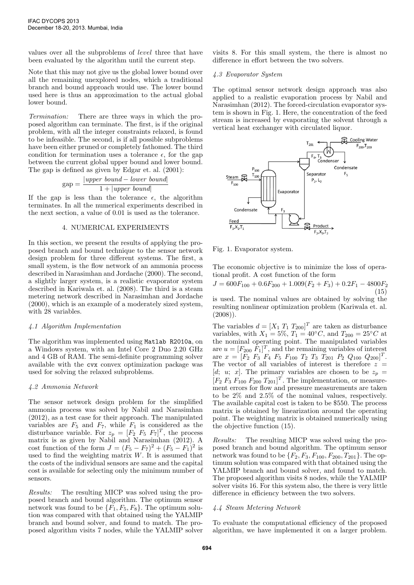values over all the subproblems of level three that have been evaluated by the algorithm until the current step.

Note that this may not give us the global lower bound over all the remaining unexplored nodes, which a traditional branch and bound approach would use. The lower bound used here is thus an approximation to the actual global lower bound.

Termination: There are three ways in which the proposed algorithm can terminate. The first, is if the original problem, with all the integer constraints relaxed, is found to be infeasible. The second, is if all possible subproblems have been either pruned or completely fathomed. The third condition for termination uses a tolerance  $\epsilon$ , for the gap between the current global upper bound and lower bound. The gap is defined as given by Edgar et. al. (2001):

$$
gap = \frac{|upper\ bound - lower\ bound|}{1 + |upper\ bound|}
$$

If the gap is less than the tolerance  $\epsilon$ , the algorithm terminates. In all the numerical experiments described in the next section, a value of 0.01 is used as the tolerance.

## 4. NUMERICAL EXPERIMENTS

In this section, we present the results of applying the proposed branch and bound technique to the sensor network design problem for three different systems. The first, a small system, is the flow network of an ammonia process described in Narasimhan and Jordache (2000). The second, a slightly larger system, is a realistic evaporator system described in Kariwala et. al. (2008). The third is a steam metering network described in Narasimhan and Jordache (2000), which is an example of a moderately sized system, with 28 variables.

#### 4.1 Algorithm Implementation

The algorithm was implemented using Matlab R2010a, on a Windows system, with an Intel Core 2 Duo 2.20 GHz and 4 GB of RAM. The semi-definite programming solver available with the cvx convex optimization package was used for solving the relaxed subproblems.

#### 4.2 Ammonia Network

The sensor network design problem for the simplified ammonia process was solved by Nabil and Narasimhan (2012), as a test case for their approach. The manipulated variables are  $F_5$  and  $F_7$ , while  $F_1$  is considered as the disturbance variable. For  $z_p = [F_2 \ F_5 \ F_7]^T$ , the process matrix is as given by Nabil and Narasimhan (2012). A cost function of the form  $J = (F_5 - F_7)^2 + (F_5 - F_1)^2$  is used to find the weighting matrix  $W$ . It is assumed that the costs of the individual sensors are same and the capital cost is available for selecting only the minimum number of sensors.

Results: The resulting MICP was solved using the proposed branch and bound algorithm. The optimum sensor network was found to be  $\{F_1, F_5, F_8\}$ . The optimum solution was compared with that obtained using the YALMIP branch and bound solver, and found to match. The proposed algorithm visits 7 nodes, while the YALMIP solver visits 8. For this small system, the there is almost no difference in effort between the two solvers.

#### 4.3 Evaporator System

The optimal sensor network design approach was also applied to a realistic evaporation process by Nabil and Narasimhan (2012). The forced-circulation evaporator system is shown in Fig. 1. Here, the concentration of the feed stream is increased by evaporating the solvent through a vertical heat exchanger with circulated liquor.



Fig. 1. Evaporator system.

The economic objective is to minimize the loss of operational profit. A cost function of the form

$$
J = 600F_{100} + 0.6F_{200} + 1.009(F_2 + F_3) + 0.2F_1 - 4800F_2
$$
\n
$$
(15)
$$

is used. The nominal values are obtained by solving the resulting nonlinear optimization problem (Kariwala et. al.  $(2008)$ ).

The variables  $d = [X_1 \ T_1 \ T_{200}]^T$  are taken as disturbance variables, with  $X_1 = 5\%, T_1 = 40 °C$ , and  $T_{200} = 25 °C$  at the nominal operating point. The manipulated variables are  $u = [F_{200} F_1]^T$ , and the remaining variables of interest are  $x = [F_2 \ F_3 \ F_4 \ F_5 \ F_{100} \ T_2 \ T_3 \ T_{201} \ P_2 \ Q_{100} \ Q_{200}]^T$ . The vector of all variables of interest is therefore  $z =$ [d; u; x]. The primary variables are chosen to be  $z_p =$  $[F_2 \, F_3 \, F_{100} \, F_{200} \, T_{201}]^T$ . The implementation, or measurement errors for flow and pressure measurements are taken to be 2% and 2.5% of the nominal values, respectively. The available capital cost is taken to be \$550. The process matrix is obtained by linearization around the operating point. The weighting matrix is obtained numerically using the objective function (15).

Results: The resulting MICP was solved using the proposed branch and bound algorithm. The optimum sensor network was found to be  $\{F_2, F_3, F_{100}, F_{200}, T_{201}\}$ . The optimum solution was compared with that obtained using the YALMIP branch and bound solver, and found to match. The proposed algorithm visits 8 nodes, while the YALMIP solver visits 16. For this system also, the there is very little difference in efficiency between the two solvers.

# 4.4 Steam Metering Network

To evaluate the computational efficiency of the proposed algorithm, we have implemented it on a larger problem.